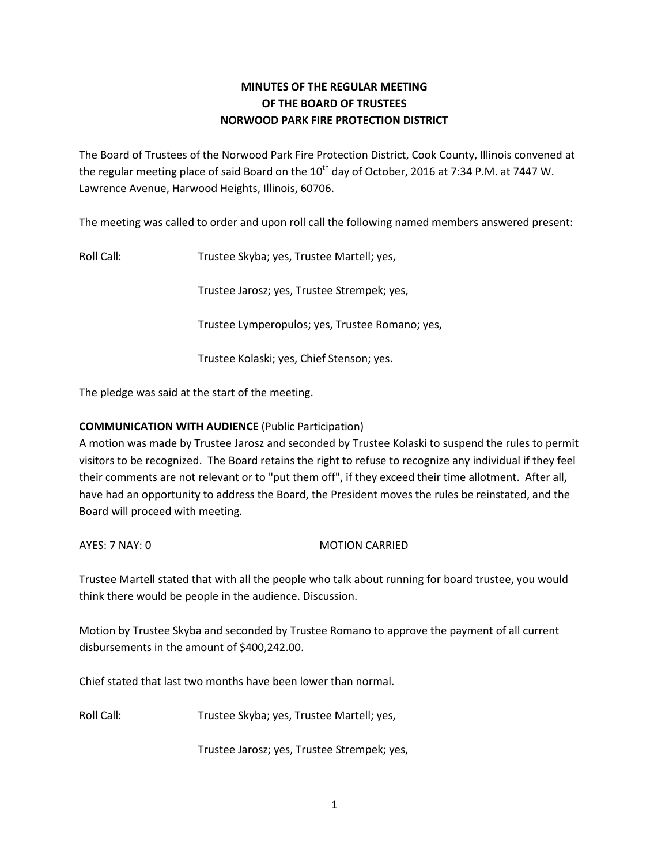# **MINUTES OF THE REGULAR MEETING OF THE BOARD OF TRUSTEES NORWOOD PARK FIRE PROTECTION DISTRICT**

The Board of Trustees of the Norwood Park Fire Protection District, Cook County, Illinois convened at the regular meeting place of said Board on the 10<sup>th</sup> day of October, 2016 at 7:34 P.M. at 7447 W. Lawrence Avenue, Harwood Heights, Illinois, 60706.

The meeting was called to order and upon roll call the following named members answered present:

Roll Call: Trustee Skyba; yes, Trustee Martell; yes,

Trustee Jarosz; yes, Trustee Strempek; yes,

Trustee Lymperopulos; yes, Trustee Romano; yes,

Trustee Kolaski; yes, Chief Stenson; yes.

The pledge was said at the start of the meeting.

### **COMMUNICATION WITH AUDIENCE** (Public Participation)

A motion was made by Trustee Jarosz and seconded by Trustee Kolaski to suspend the rules to permit visitors to be recognized. The Board retains the right to refuse to recognize any individual if they feel their comments are not relevant or to "put them off", if they exceed their time allotment. After all, have had an opportunity to address the Board, the President moves the rules be reinstated, and the Board will proceed with meeting.

AYES: 7 NAY: 0 MOTION CARRIED

Trustee Martell stated that with all the people who talk about running for board trustee, you would think there would be people in the audience. Discussion.

Motion by Trustee Skyba and seconded by Trustee Romano to approve the payment of all current disbursements in the amount of \$400,242.00.

Chief stated that last two months have been lower than normal.

Roll Call: Trustee Skyba; yes, Trustee Martell; yes,

Trustee Jarosz; yes, Trustee Strempek; yes,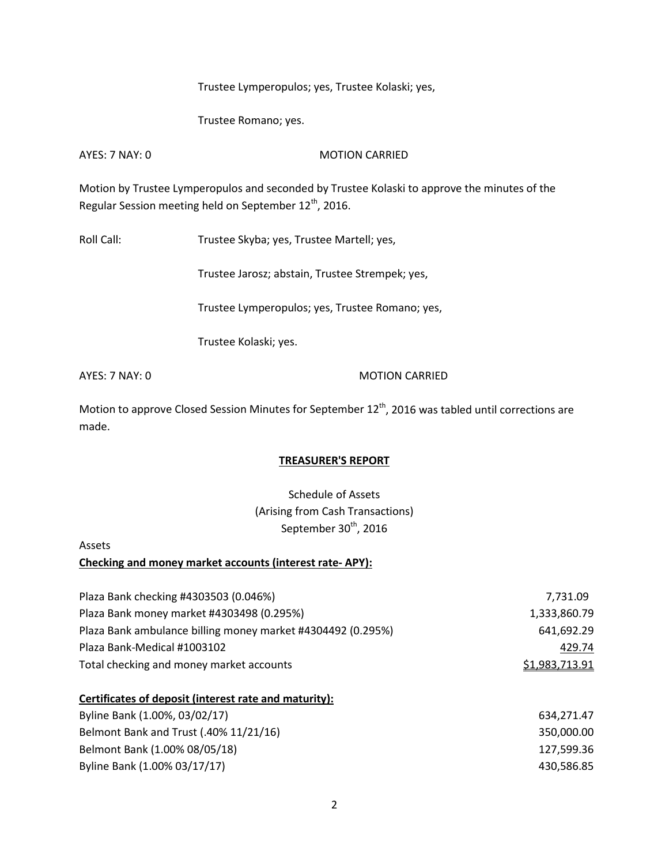Trustee Lymperopulos; yes, Trustee Kolaski; yes,

Trustee Romano; yes.

AYES: 7 NAY: 0 MOTION CARRIED

Motion by Trustee Lymperopulos and seconded by Trustee Kolaski to approve the minutes of the Regular Session meeting held on September 12<sup>th</sup>, 2016.

Roll Call: Trustee Skyba; yes, Trustee Martell; yes,

Trustee Jarosz; abstain, Trustee Strempek; yes,

Trustee Lymperopulos; yes, Trustee Romano; yes,

Trustee Kolaski; yes.

AYES: 7 NAY: 0 MOTION CARRIED

Motion to approve Closed Session Minutes for September  $12^{th}$ , 2016 was tabled until corrections are made.

#### **TREASURER'S REPORT**

Schedule of Assets (Arising from Cash Transactions) September 30<sup>th</sup>, 2016

#### Assets

## **Checking and money market accounts (interest rate- APY):**

| Plaza Bank checking #4303503 (0.046%)                       | 7,731.09       |
|-------------------------------------------------------------|----------------|
| Plaza Bank money market #4303498 (0.295%)                   | 1,333,860.79   |
| Plaza Bank ambulance billing money market #4304492 (0.295%) | 641,692.29     |
| Plaza Bank-Medical #1003102                                 | 429.74         |
| Total checking and money market accounts                    | \$1,983,713.91 |
| Certificates of deposit (interest rate and maturity):       |                |
| Byline Bank (1.00%, 03/02/17)                               | 634,271.47     |
| Belmont Bank and Trust (.40% 11/21/16)                      | 350,000.00     |
| Belmont Bank (1.00% 08/05/18)                               | 127,599.36     |
| Byline Bank (1.00% 03/17/17)                                | 430,586.85     |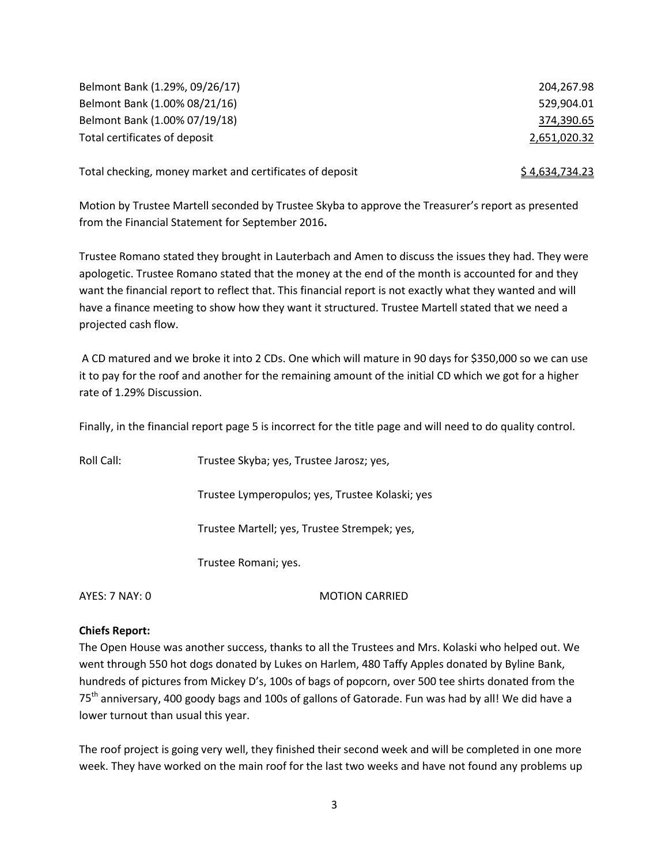| Belmont Bank (1.29%, 09/26/17) | 204,267.98   |
|--------------------------------|--------------|
| Belmont Bank (1.00% 08/21/16)  | 529.904.01   |
| Belmont Bank (1.00% 07/19/18)  | 374,390.65   |
| Total certificates of deposit  | 2,651,020.32 |

Total checking, money market and certificates of deposit  $\frac{1}{2}$  \$ 4,634,734.23

Motion by Trustee Martell seconded by Trustee Skyba to approve the Treasurer's report as presented from the Financial Statement for September 2016**.** 

Trustee Romano stated they brought in Lauterbach and Amen to discuss the issues they had. They were apologetic. Trustee Romano stated that the money at the end of the month is accounted for and they want the financial report to reflect that. This financial report is not exactly what they wanted and will have a finance meeting to show how they want it structured. Trustee Martell stated that we need a projected cash flow.

A CD matured and we broke it into 2 CDs. One which will mature in 90 days for \$350,000 so we can use it to pay for the roof and another for the remaining amount of the initial CD which we got for a higher rate of 1.29% Discussion.

Finally, in the financial report page 5 is incorrect for the title page and will need to do quality control.

Roll Call: Trustee Skyba; yes, Trustee Jarosz; yes,

Trustee Lymperopulos; yes, Trustee Kolaski; yes

Trustee Martell; yes, Trustee Strempek; yes,

Trustee Romani; yes.

AYES: 7 NAY: 0 MOTION CARRIED

#### **Chiefs Report:**

The Open House was another success, thanks to all the Trustees and Mrs. Kolaski who helped out. We went through 550 hot dogs donated by Lukes on Harlem, 480 Taffy Apples donated by Byline Bank, hundreds of pictures from Mickey D's, 100s of bags of popcorn, over 500 tee shirts donated from the 75<sup>th</sup> anniversary, 400 goody bags and 100s of gallons of Gatorade. Fun was had by all! We did have a lower turnout than usual this year.

The roof project is going very well, they finished their second week and will be completed in one more week. They have worked on the main roof for the last two weeks and have not found any problems up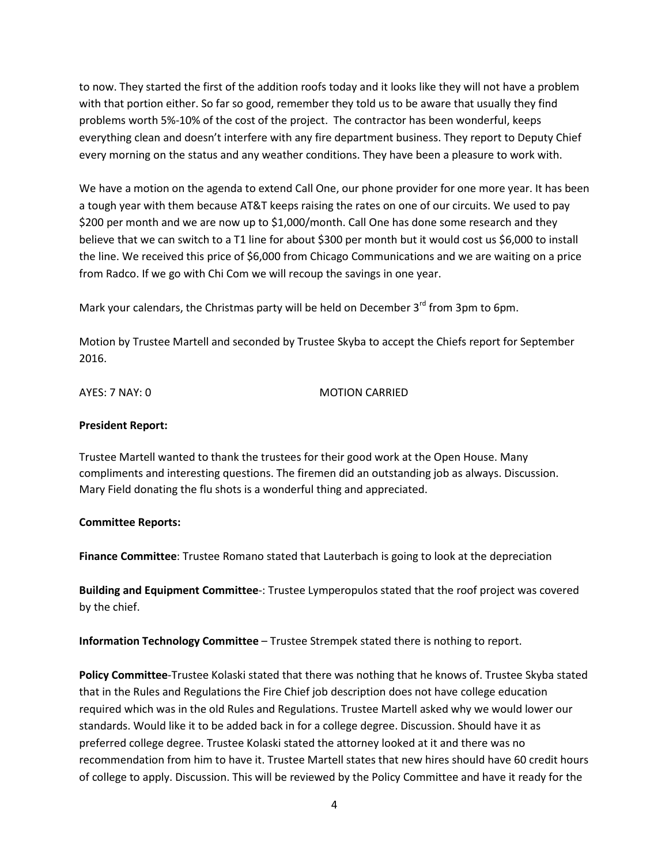to now. They started the first of the addition roofs today and it looks like they will not have a problem with that portion either. So far so good, remember they told us to be aware that usually they find problems worth 5%-10% of the cost of the project. The contractor has been wonderful, keeps everything clean and doesn't interfere with any fire department business. They report to Deputy Chief every morning on the status and any weather conditions. They have been a pleasure to work with.

We have a motion on the agenda to extend Call One, our phone provider for one more year. It has been a tough year with them because AT&T keeps raising the rates on one of our circuits. We used to pay \$200 per month and we are now up to \$1,000/month. Call One has done some research and they believe that we can switch to a T1 line for about \$300 per month but it would cost us \$6,000 to install the line. We received this price of \$6,000 from Chicago Communications and we are waiting on a price from Radco. If we go with Chi Com we will recoup the savings in one year.

Mark your calendars, the Christmas party will be held on December  $3<sup>rd</sup>$  from 3pm to 6pm.

Motion by Trustee Martell and seconded by Trustee Skyba to accept the Chiefs report for September 2016.

AYES: 7 NAY: 0 MOTION CARRIED

#### **President Report:**

Trustee Martell wanted to thank the trustees for their good work at the Open House. Many compliments and interesting questions. The firemen did an outstanding job as always. Discussion. Mary Field donating the flu shots is a wonderful thing and appreciated.

#### **Committee Reports:**

**Finance Committee**: Trustee Romano stated that Lauterbach is going to look at the depreciation

**Building and Equipment Committee**-: Trustee Lymperopulos stated that the roof project was covered by the chief.

**Information Technology Committee** – Trustee Strempek stated there is nothing to report.

**Policy Committee**-Trustee Kolaski stated that there was nothing that he knows of. Trustee Skyba stated that in the Rules and Regulations the Fire Chief job description does not have college education required which was in the old Rules and Regulations. Trustee Martell asked why we would lower our standards. Would like it to be added back in for a college degree. Discussion. Should have it as preferred college degree. Trustee Kolaski stated the attorney looked at it and there was no recommendation from him to have it. Trustee Martell states that new hires should have 60 credit hours of college to apply. Discussion. This will be reviewed by the Policy Committee and have it ready for the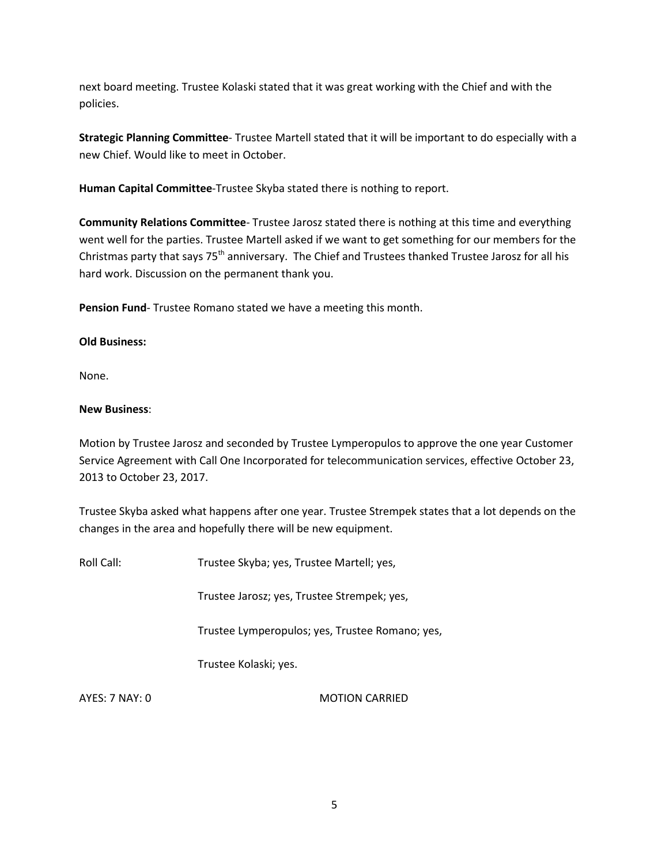next board meeting. Trustee Kolaski stated that it was great working with the Chief and with the policies.

**Strategic Planning Committee**- Trustee Martell stated that it will be important to do especially with a new Chief. Would like to meet in October.

**Human Capital Committee**-Trustee Skyba stated there is nothing to report.

**Community Relations Committee**- Trustee Jarosz stated there is nothing at this time and everything went well for the parties. Trustee Martell asked if we want to get something for our members for the Christmas party that says 75<sup>th</sup> anniversary. The Chief and Trustees thanked Trustee Jarosz for all his hard work. Discussion on the permanent thank you.

**Pension Fund**- Trustee Romano stated we have a meeting this month.

#### **Old Business:**

None.

#### **New Business**:

Motion by Trustee Jarosz and seconded by Trustee Lymperopulos to approve the one year Customer Service Agreement with Call One Incorporated for telecommunication services, effective October 23, 2013 to October 23, 2017.

Trustee Skyba asked what happens after one year. Trustee Strempek states that a lot depends on the changes in the area and hopefully there will be new equipment.

Roll Call: Trustee Skyba; yes, Trustee Martell; yes,

Trustee Jarosz; yes, Trustee Strempek; yes,

Trustee Lymperopulos; yes, Trustee Romano; yes,

Trustee Kolaski; yes.

AYES: 7 NAY: 0 MOTION CARRIED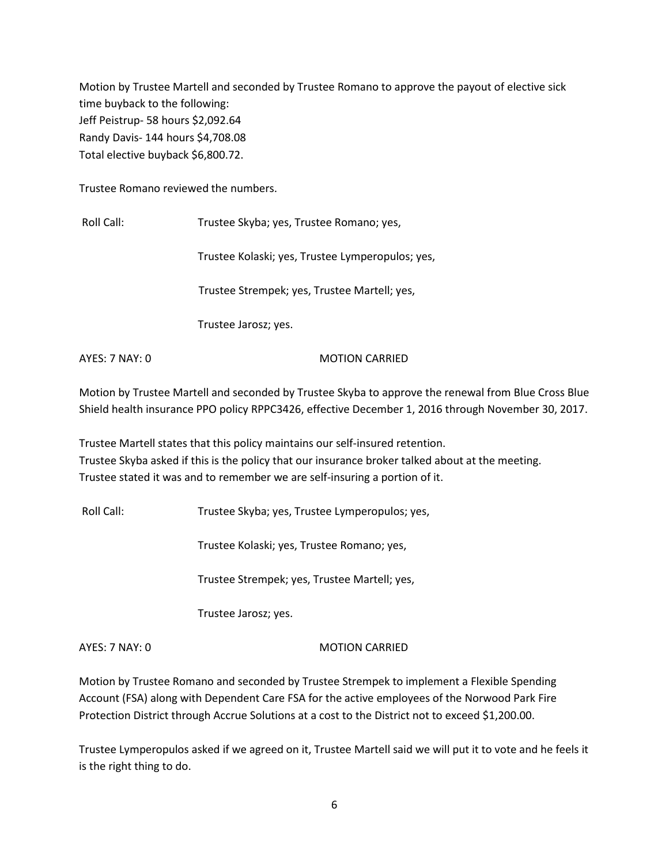Motion by Trustee Martell and seconded by Trustee Romano to approve the payout of elective sick time buyback to the following: Jeff Peistrup- 58 hours \$2,092.64 Randy Davis- 144 hours \$4,708.08 Total elective buyback \$6,800.72.

Trustee Romano reviewed the numbers.

Roll Call: Trustee Skyba; yes, Trustee Romano; yes,

Trustee Kolaski; yes, Trustee Lymperopulos; yes,

Trustee Strempek; yes, Trustee Martell; yes,

Trustee Jarosz; yes.

AYES: 7 NAY: 0 MOTION CARRIED

Motion by Trustee Martell and seconded by Trustee Skyba to approve the renewal from Blue Cross Blue Shield health insurance PPO policy RPPC3426, effective December 1, 2016 through November 30, 2017.

Trustee Martell states that this policy maintains our self-insured retention. Trustee Skyba asked if this is the policy that our insurance broker talked about at the meeting. Trustee stated it was and to remember we are self-insuring a portion of it.

Roll Call: Trustee Skyba; yes, Trustee Lymperopulos; yes,

Trustee Kolaski; yes, Trustee Romano; yes,

Trustee Strempek; yes, Trustee Martell; yes,

Trustee Jarosz; yes.

AYES: 7 NAY: 0 MOTION CARRIED

Motion by Trustee Romano and seconded by Trustee Strempek to implement a Flexible Spending Account (FSA) along with Dependent Care FSA for the active employees of the Norwood Park Fire Protection District through Accrue Solutions at a cost to the District not to exceed \$1,200.00.

Trustee Lymperopulos asked if we agreed on it, Trustee Martell said we will put it to vote and he feels it is the right thing to do.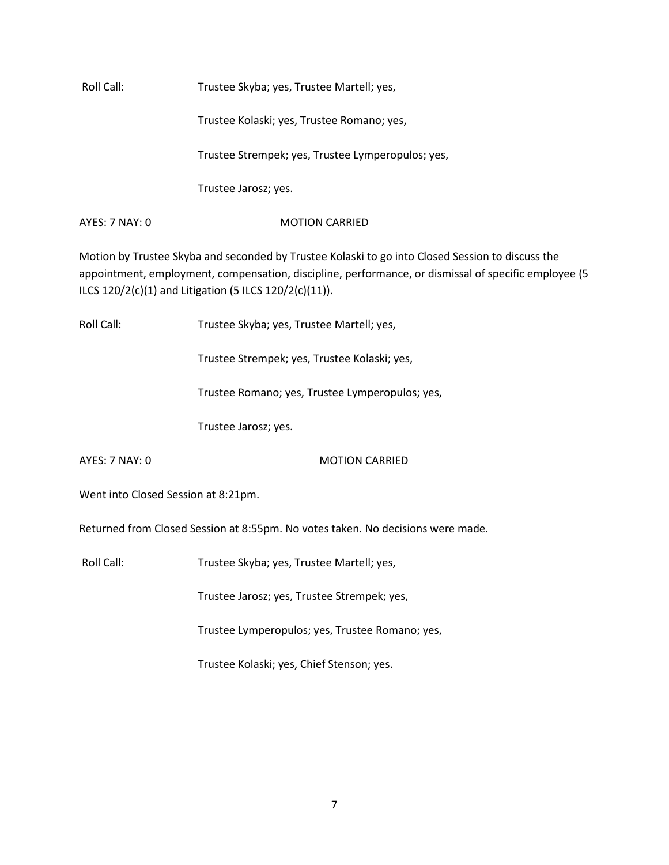Roll Call: Trustee Skyba; yes, Trustee Martell; yes,

Trustee Kolaski; yes, Trustee Romano; yes,

Trustee Strempek; yes, Trustee Lymperopulos; yes,

Trustee Jarosz; yes.

AYES: 7 NAY: 0 MOTION CARRIED

Motion by Trustee Skyba and seconded by Trustee Kolaski to go into Closed Session to discuss the appointment, employment, compensation, discipline, performance, or dismissal of specific employee (5 ILCS 120/2(c)(1) and Litigation (5 ILCS 120/2(c)(11)).

Roll Call: Trustee Skyba; yes, Trustee Martell; yes,

Trustee Strempek; yes, Trustee Kolaski; yes,

Trustee Romano; yes, Trustee Lymperopulos; yes,

Trustee Jarosz; yes.

AYES: 7 NAY: 0 MOTION CARRIED

Went into Closed Session at 8:21pm.

Returned from Closed Session at 8:55pm. No votes taken. No decisions were made.

Roll Call: Trustee Skyba; yes, Trustee Martell; yes,

Trustee Jarosz; yes, Trustee Strempek; yes,

Trustee Lymperopulos; yes, Trustee Romano; yes,

Trustee Kolaski; yes, Chief Stenson; yes.